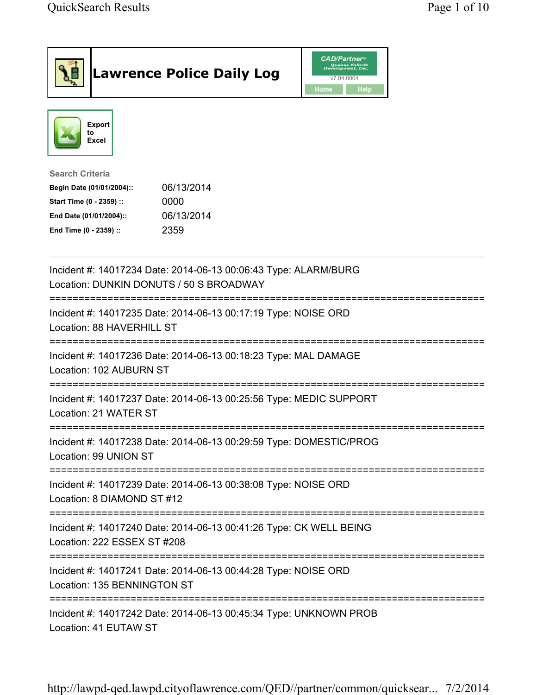| <b>Lawrence Police Daily Log</b>                                                                                                                                                 | <b>CAD/Partner</b> "<br>Queues Enforth<br>Development, Inc.<br>v7.04.0004<br>Home<br><b>Help</b> |
|----------------------------------------------------------------------------------------------------------------------------------------------------------------------------------|--------------------------------------------------------------------------------------------------|
| <b>Export</b><br>to<br>Excel                                                                                                                                                     |                                                                                                  |
| <b>Search Criteria</b><br>06/13/2014<br>Begin Date (01/01/2004)::<br>Start Time (0 - 2359) ::<br>0000<br>06/13/2014<br>End Date (01/01/2004)::<br>2359<br>End Time (0 - 2359) :: |                                                                                                  |
| Incident #: 14017234 Date: 2014-06-13 00:06:43 Type: ALARM/BURG<br>Location: DUNKIN DONUTS / 50 S BROADWAY                                                                       |                                                                                                  |
| ===================================<br>Incident #: 14017235 Date: 2014-06-13 00:17:19 Type: NOISE ORD<br>Location: 88 HAVERHILL ST                                               |                                                                                                  |
| Incident #: 14017236 Date: 2014-06-13 00:18:23 Type: MAL DAMAGE<br>Location: 102 AUBURN ST                                                                                       |                                                                                                  |
| Incident #: 14017237 Date: 2014-06-13 00:25:56 Type: MEDIC SUPPORT<br>Location: 21 WATER ST                                                                                      |                                                                                                  |
| Incident #: 14017238 Date: 2014-06-13 00:29:59 Type: DOMESTIC/PROG<br>Location: 99 UNION ST                                                                                      |                                                                                                  |
| Incident #: 14017239 Date: 2014-06-13 00:38:08 Type: NOISE ORD<br>Location: 8 DIAMOND ST #12                                                                                     |                                                                                                  |
| Incident #: 14017240 Date: 2014-06-13 00:41:26 Type: CK WELL BEING<br>Location: 222 ESSEX ST #208                                                                                |                                                                                                  |
| Incident #: 14017241 Date: 2014-06-13 00:44:28 Type: NOISE ORD<br>Location: 135 BENNINGTON ST                                                                                    |                                                                                                  |
| Incident #: 14017242 Date: 2014-06-13 00:45:34 Type: UNKNOWN PROB<br>Location: 41 EUTAW ST                                                                                       |                                                                                                  |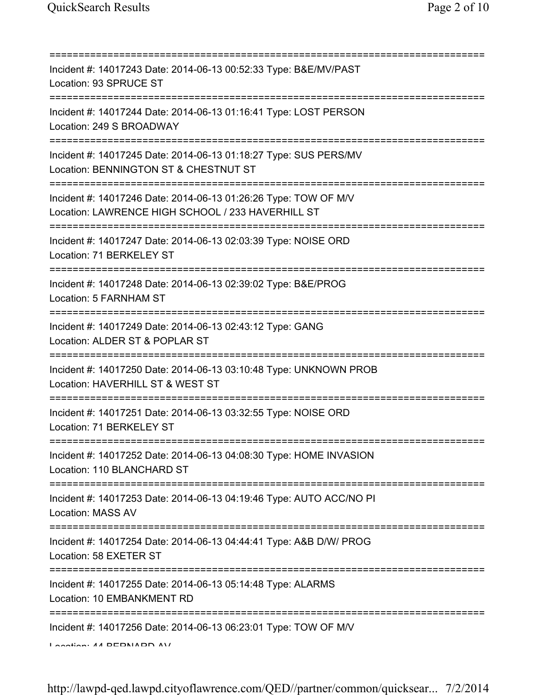| Incident #: 14017243 Date: 2014-06-13 00:52:33 Type: B&E/MV/PAST<br>Location: 93 SPRUCE ST                                                         |
|----------------------------------------------------------------------------------------------------------------------------------------------------|
| Incident #: 14017244 Date: 2014-06-13 01:16:41 Type: LOST PERSON<br>Location: 249 S BROADWAY                                                       |
| Incident #: 14017245 Date: 2014-06-13 01:18:27 Type: SUS PERS/MV<br>Location: BENNINGTON ST & CHESTNUT ST                                          |
| :=========================<br>Incident #: 14017246 Date: 2014-06-13 01:26:26 Type: TOW OF M/V<br>Location: LAWRENCE HIGH SCHOOL / 233 HAVERHILL ST |
| Incident #: 14017247 Date: 2014-06-13 02:03:39 Type: NOISE ORD<br>Location: 71 BERKELEY ST                                                         |
| Incident #: 14017248 Date: 2014-06-13 02:39:02 Type: B&E/PROG<br>Location: 5 FARNHAM ST                                                            |
| :==============================<br>Incident #: 14017249 Date: 2014-06-13 02:43:12 Type: GANG<br>Location: ALDER ST & POPLAR ST                     |
| Incident #: 14017250 Date: 2014-06-13 03:10:48 Type: UNKNOWN PROB<br>Location: HAVERHILL ST & WEST ST                                              |
| Incident #: 14017251 Date: 2014-06-13 03:32:55 Type: NOISE ORD<br>Location: 71 BERKELEY ST                                                         |
| Incident #: 14017252 Date: 2014-06-13 04:08:30 Type: HOME INVASION<br>Location: 110 BLANCHARD ST                                                   |
| -----------<br>====================<br>Incident #: 14017253 Date: 2014-06-13 04:19:46 Type: AUTO ACC/NO PI<br>Location: MASS AV                    |
| Incident #: 14017254 Date: 2014-06-13 04:44:41 Type: A&B D/W/ PROG<br>Location: 58 EXETER ST                                                       |
| Incident #: 14017255 Date: 2014-06-13 05:14:48 Type: ALARMS<br>Location: 10 EMBANKMENT RD                                                          |
| ----------------------------<br>Incident #: 14017256 Date: 2014-06-13 06:23:01 Type: TOW OF M/V<br>$A \sim A$                                      |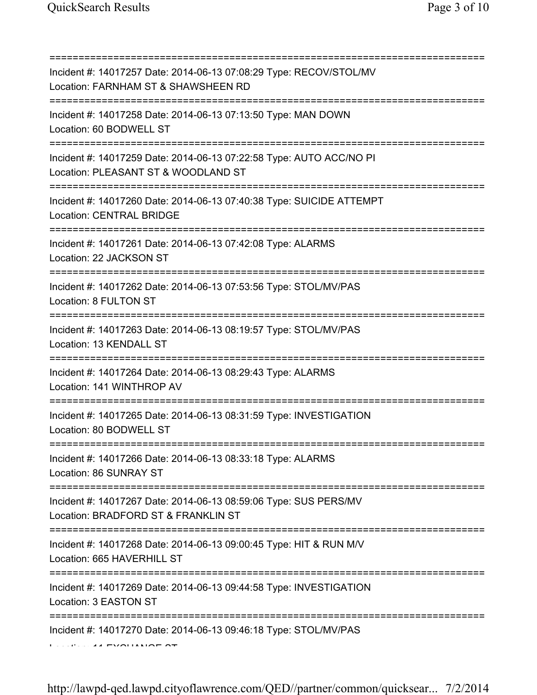| Incident #: 14017257 Date: 2014-06-13 07:08:29 Type: RECOV/STOL/MV<br>Location: FARNHAM ST & SHAWSHEEN RD<br>===================================== |
|----------------------------------------------------------------------------------------------------------------------------------------------------|
| Incident #: 14017258 Date: 2014-06-13 07:13:50 Type: MAN DOWN<br>Location: 60 BODWELL ST                                                           |
| Incident #: 14017259 Date: 2014-06-13 07:22:58 Type: AUTO ACC/NO PI<br>Location: PLEASANT ST & WOODLAND ST                                         |
| Incident #: 14017260 Date: 2014-06-13 07:40:38 Type: SUICIDE ATTEMPT<br><b>Location: CENTRAL BRIDGE</b>                                            |
| Incident #: 14017261 Date: 2014-06-13 07:42:08 Type: ALARMS<br>Location: 22 JACKSON ST                                                             |
| Incident #: 14017262 Date: 2014-06-13 07:53:56 Type: STOL/MV/PAS<br>Location: 8 FULTON ST                                                          |
| Incident #: 14017263 Date: 2014-06-13 08:19:57 Type: STOL/MV/PAS<br>Location: 13 KENDALL ST                                                        |
| Incident #: 14017264 Date: 2014-06-13 08:29:43 Type: ALARMS<br>Location: 141 WINTHROP AV                                                           |
| Incident #: 14017265 Date: 2014-06-13 08:31:59 Type: INVESTIGATION<br>Location: 80 BODWELL ST                                                      |
| Incident #: 14017266 Date: 2014-06-13 08:33:18 Type: ALARMS<br>Location: 86 SUNRAY ST<br>===========                                               |
| Incident #: 14017267 Date: 2014-06-13 08:59:06 Type: SUS PERS/MV<br>Location: BRADFORD ST & FRANKLIN ST                                            |
| Incident #: 14017268 Date: 2014-06-13 09:00:45 Type: HIT & RUN M/V<br>Location: 665 HAVERHILL ST                                                   |
| Incident #: 14017269 Date: 2014-06-13 09:44:58 Type: INVESTIGATION<br>Location: 3 EASTON ST                                                        |
| Incident #: 14017270 Date: 2014-06-13 09:46:18 Type: STOL/MV/PAS                                                                                   |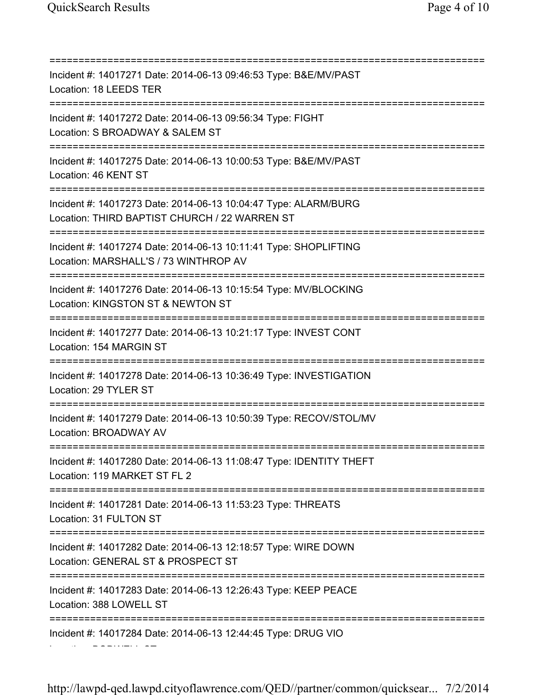=========================================================================== Incident #: 14017271 Date: 2014-06-13 09:46:53 Type: B&E/MV/PAST Location: 18 LEEDS TER =========================================================================== Incident #: 14017272 Date: 2014-06-13 09:56:34 Type: FIGHT Location: S BROADWAY & SALEM ST =========================================================================== Incident #: 14017275 Date: 2014-06-13 10:00:53 Type: B&E/MV/PAST Location: 46 KENT ST =========================================================================== Incident #: 14017273 Date: 2014-06-13 10:04:47 Type: ALARM/BURG Location: THIRD BAPTIST CHURCH / 22 WARREN ST =========================================================================== Incident #: 14017274 Date: 2014-06-13 10:11:41 Type: SHOPLIFTING Location: MARSHALL'S / 73 WINTHROP AV =========================================================================== Incident #: 14017276 Date: 2014-06-13 10:15:54 Type: MV/BLOCKING Location: KINGSTON ST & NEWTON ST =========================================================================== Incident #: 14017277 Date: 2014-06-13 10:21:17 Type: INVEST CONT Location: 154 MARGIN ST =========================================================================== Incident #: 14017278 Date: 2014-06-13 10:36:49 Type: INVESTIGATION Location: 29 TYLER ST =========================================================================== Incident #: 14017279 Date: 2014-06-13 10:50:39 Type: RECOV/STOL/MV Location: BROADWAY AV =========================================================================== Incident #: 14017280 Date: 2014-06-13 11:08:47 Type: IDENTITY THEFT Location: 119 MARKET ST FL 2 =========================================================================== Incident #: 14017281 Date: 2014-06-13 11:53:23 Type: THREATS Location: 31 FULTON ST =========================================================================== Incident #: 14017282 Date: 2014-06-13 12:18:57 Type: WIRE DOWN Location: GENERAL ST & PROSPECT ST =========================================================================== Incident #: 14017283 Date: 2014-06-13 12:26:43 Type: KEEP PEACE Location: 388 LOWELL ST =========================================================================== Incident #: 14017284 Date: 2014-06-13 12:44:45 Type: DRUG VIO

Location: BODWELL ST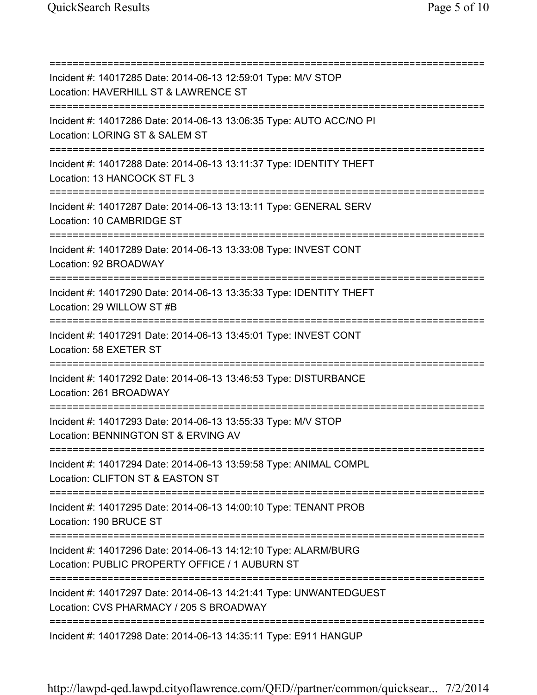=========================================================================== Incident #: 14017285 Date: 2014-06-13 12:59:01 Type: M/V STOP Location: HAVERHILL ST & LAWRENCE ST =========================================================================== Incident #: 14017286 Date: 2014-06-13 13:06:35 Type: AUTO ACC/NO PI Location: LORING ST & SALEM ST =========================================================================== Incident #: 14017288 Date: 2014-06-13 13:11:37 Type: IDENTITY THEFT Location: 13 HANCOCK ST FL 3 =========================================================================== Incident #: 14017287 Date: 2014-06-13 13:13:11 Type: GENERAL SERV Location: 10 CAMBRIDGE ST =========================================================================== Incident #: 14017289 Date: 2014-06-13 13:33:08 Type: INVEST CONT Location: 92 BROADWAY =========================================================================== Incident #: 14017290 Date: 2014-06-13 13:35:33 Type: IDENTITY THEFT Location: 29 WILLOW ST #B =========================================================================== Incident #: 14017291 Date: 2014-06-13 13:45:01 Type: INVEST CONT Location: 58 EXETER ST =========================================================================== Incident #: 14017292 Date: 2014-06-13 13:46:53 Type: DISTURBANCE Location: 261 BROADWAY =========================================================================== Incident #: 14017293 Date: 2014-06-13 13:55:33 Type: M/V STOP Location: BENNINGTON ST & ERVING AV =========================================================================== Incident #: 14017294 Date: 2014-06-13 13:59:58 Type: ANIMAL COMPL Location: CLIFTON ST & EASTON ST =========================================================================== Incident #: 14017295 Date: 2014-06-13 14:00:10 Type: TENANT PROB Location: 190 BRUCE ST =========================================================================== Incident #: 14017296 Date: 2014-06-13 14:12:10 Type: ALARM/BURG Location: PUBLIC PROPERTY OFFICE / 1 AUBURN ST =========================================================================== Incident #: 14017297 Date: 2014-06-13 14:21:41 Type: UNWANTEDGUEST Location: CVS PHARMACY / 205 S BROADWAY =========================================================================== Incident #: 14017298 Date: 2014-06-13 14:35:11 Type: E911 HANGUP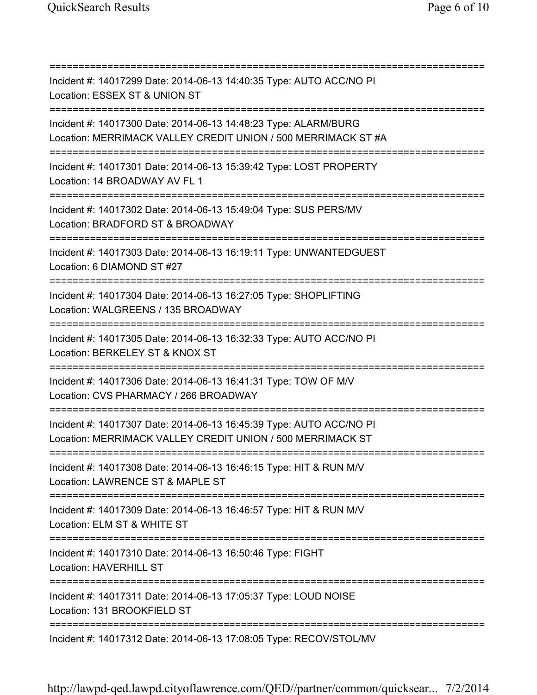=========================================================================== Incident #: 14017299 Date: 2014-06-13 14:40:35 Type: AUTO ACC/NO PI Location: ESSEX ST & UNION ST =========================================================================== Incident #: 14017300 Date: 2014-06-13 14:48:23 Type: ALARM/BURG Location: MERRIMACK VALLEY CREDIT UNION / 500 MERRIMACK ST #A =========================================================================== Incident #: 14017301 Date: 2014-06-13 15:39:42 Type: LOST PROPERTY Location: 14 BROADWAY AV FL 1 =========================================================================== Incident #: 14017302 Date: 2014-06-13 15:49:04 Type: SUS PERS/MV Location: BRADFORD ST & BROADWAY =========================================================================== Incident #: 14017303 Date: 2014-06-13 16:19:11 Type: UNWANTEDGUEST Location: 6 DIAMOND ST #27 =========================================================================== Incident #: 14017304 Date: 2014-06-13 16:27:05 Type: SHOPLIFTING Location: WALGREENS / 135 BROADWAY =========================================================================== Incident #: 14017305 Date: 2014-06-13 16:32:33 Type: AUTO ACC/NO PI Location: BERKELEY ST & KNOX ST =========================================================================== Incident #: 14017306 Date: 2014-06-13 16:41:31 Type: TOW OF M/V Location: CVS PHARMACY / 266 BROADWAY =========================================================================== Incident #: 14017307 Date: 2014-06-13 16:45:39 Type: AUTO ACC/NO PI Location: MERRIMACK VALLEY CREDIT UNION / 500 MERRIMACK ST =========================================================================== Incident #: 14017308 Date: 2014-06-13 16:46:15 Type: HIT & RUN M/V Location: LAWRENCE ST & MAPLE ST =========================================================================== Incident #: 14017309 Date: 2014-06-13 16:46:57 Type: HIT & RUN M/V Location: ELM ST & WHITE ST =========================================================================== Incident #: 14017310 Date: 2014-06-13 16:50:46 Type: FIGHT Location: HAVERHILL ST =========================================================================== Incident #: 14017311 Date: 2014-06-13 17:05:37 Type: LOUD NOISE Location: 131 BROOKFIELD ST =========================================================================== Incident #: 14017312 Date: 2014-06-13 17:08:05 Type: RECOV/STOL/MV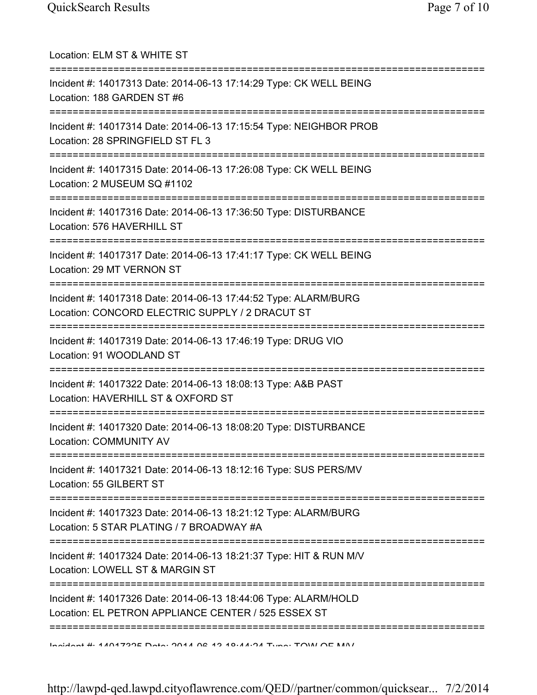| Location: ELM ST & WHITE ST                                                                                                               |
|-------------------------------------------------------------------------------------------------------------------------------------------|
| Incident #: 14017313 Date: 2014-06-13 17:14:29 Type: CK WELL BEING<br>Location: 188 GARDEN ST #6<br>===================================== |
| Incident #: 14017314 Date: 2014-06-13 17:15:54 Type: NEIGHBOR PROB<br>Location: 28 SPRINGFIELD ST FL 3                                    |
| Incident #: 14017315 Date: 2014-06-13 17:26:08 Type: CK WELL BEING<br>Location: 2 MUSEUM SQ #1102                                         |
| Incident #: 14017316 Date: 2014-06-13 17:36:50 Type: DISTURBANCE<br>Location: 576 HAVERHILL ST                                            |
| ;====================================<br>Incident #: 14017317 Date: 2014-06-13 17:41:17 Type: CK WELL BEING<br>Location: 29 MT VERNON ST  |
| Incident #: 14017318 Date: 2014-06-13 17:44:52 Type: ALARM/BURG<br>Location: CONCORD ELECTRIC SUPPLY / 2 DRACUT ST                        |
| ,,,,,,,,,,,,,,,,<br>Incident #: 14017319 Date: 2014-06-13 17:46:19 Type: DRUG VIO<br>Location: 91 WOODLAND ST                             |
| Incident #: 14017322 Date: 2014-06-13 18:08:13 Type: A&B PAST<br>Location: HAVERHILL ST & OXFORD ST                                       |
| Incident #: 14017320 Date: 2014-06-13 18:08:20 Type: DISTURBANCE<br>Location: COMMUNITY AV                                                |
| ___________________________________<br>Incident #: 14017321 Date: 2014-06-13 18:12:16 Type: SUS PERS/MV<br>Location: 55 GILBERT ST        |
| Incident #: 14017323 Date: 2014-06-13 18:21:12 Type: ALARM/BURG<br>Location: 5 STAR PLATING / 7 BROADWAY #A                               |
| Incident #: 14017324 Date: 2014-06-13 18:21:37 Type: HIT & RUN M/V<br>Location: LOWELL ST & MARGIN ST                                     |
| Incident #: 14017326 Date: 2014-06-13 18:44:06 Type: ALARM/HOLD<br>Location: EL PETRON APPLIANCE CENTER / 525 ESSEX ST                    |
| Incident #: 11017995 Deta: 9011 06 19 10:11:91 Tune: TOINI OF MAI                                                                         |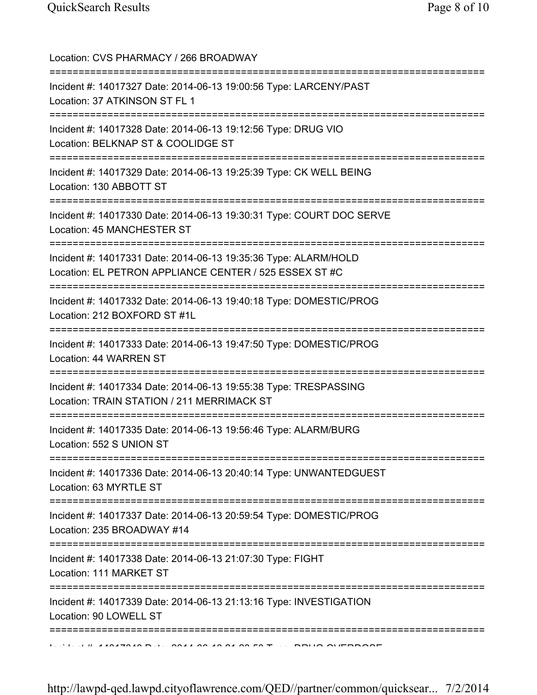| Location: CVS PHARMACY / 266 BROADWAY                                                                                                               |
|-----------------------------------------------------------------------------------------------------------------------------------------------------|
| Incident #: 14017327 Date: 2014-06-13 19:00:56 Type: LARCENY/PAST<br>Location: 37 ATKINSON ST FL 1<br>==================================            |
| Incident #: 14017328 Date: 2014-06-13 19:12:56 Type: DRUG VIO<br>Location: BELKNAP ST & COOLIDGE ST                                                 |
| Incident #: 14017329 Date: 2014-06-13 19:25:39 Type: CK WELL BEING<br>Location: 130 ABBOTT ST                                                       |
| Incident #: 14017330 Date: 2014-06-13 19:30:31 Type: COURT DOC SERVE<br>Location: 45 MANCHESTER ST                                                  |
| Incident #: 14017331 Date: 2014-06-13 19:35:36 Type: ALARM/HOLD<br>Location: EL PETRON APPLIANCE CENTER / 525 ESSEX ST #C                           |
| Incident #: 14017332 Date: 2014-06-13 19:40:18 Type: DOMESTIC/PROG<br>Location: 212 BOXFORD ST #1L                                                  |
| Incident #: 14017333 Date: 2014-06-13 19:47:50 Type: DOMESTIC/PROG<br>Location: 44 WARREN ST                                                        |
| Incident #: 14017334 Date: 2014-06-13 19:55:38 Type: TRESPASSING<br>Location: TRAIN STATION / 211 MERRIMACK ST<br>================================= |
| Incident #: 14017335 Date: 2014-06-13 19:56:46 Type: ALARM/BURG<br>Location: 552 S UNION ST                                                         |
| Incident #: 14017336 Date: 2014-06-13 20:40:14 Type: UNWANTEDGUEST<br>Location: 63 MYRTLE ST                                                        |
| Incident #: 14017337 Date: 2014-06-13 20:59:54 Type: DOMESTIC/PROG<br>Location: 235 BROADWAY #14<br>:===========                                    |
| Incident #: 14017338 Date: 2014-06-13 21:07:30 Type: FIGHT<br>Location: 111 MARKET ST                                                               |
| Incident #: 14017339 Date: 2014-06-13 21:13:16 Type: INVESTIGATION<br>Location: 90 LOWELL ST                                                        |
|                                                                                                                                                     |

http://lawpd-qed.lawpd.cityoflawrence.com/QED//partner/common/quicksear... 7/2/2014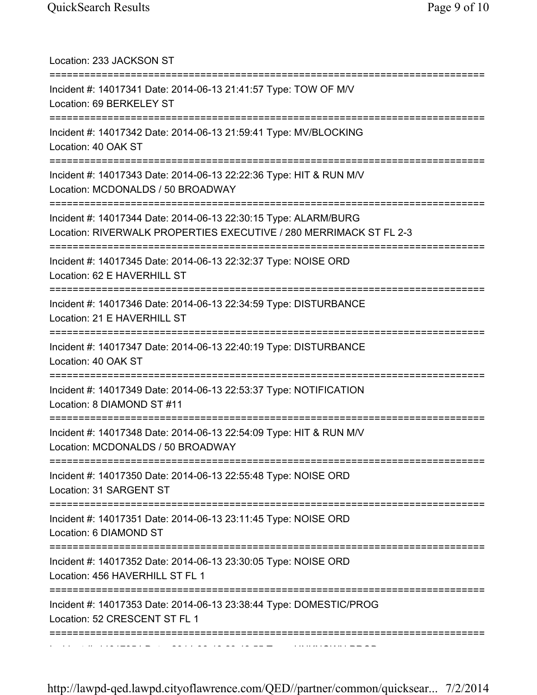| Location: 233 JACKSON ST                                                                                                              |
|---------------------------------------------------------------------------------------------------------------------------------------|
| Incident #: 14017341 Date: 2014-06-13 21:41:57 Type: TOW OF M/V<br>Location: 69 BERKELEY ST                                           |
| Incident #: 14017342 Date: 2014-06-13 21:59:41 Type: MV/BLOCKING<br>Location: 40 OAK ST                                               |
| Incident #: 14017343 Date: 2014-06-13 22:22:36 Type: HIT & RUN M/V<br>Location: MCDONALDS / 50 BROADWAY<br>=========================  |
| Incident #: 14017344 Date: 2014-06-13 22:30:15 Type: ALARM/BURG<br>Location: RIVERWALK PROPERTIES EXECUTIVE / 280 MERRIMACK ST FL 2-3 |
| Incident #: 14017345 Date: 2014-06-13 22:32:37 Type: NOISE ORD<br>Location: 62 E HAVERHILL ST                                         |
| Incident #: 14017346 Date: 2014-06-13 22:34:59 Type: DISTURBANCE<br>Location: 21 E HAVERHILL ST                                       |
| Incident #: 14017347 Date: 2014-06-13 22:40:19 Type: DISTURBANCE<br>Location: 40 OAK ST                                               |
| Incident #: 14017349 Date: 2014-06-13 22:53:37 Type: NOTIFICATION<br>Location: 8 DIAMOND ST #11                                       |
| Incident #: 14017348 Date: 2014-06-13 22:54:09 Type: HIT & RUN M/V<br>Location: MCDONALDS / 50 BROADWAY                               |
| Incident #: 14017350 Date: 2014-06-13 22:55:48 Type: NOISE ORD<br>Location: 31 SARGENT ST                                             |
| Incident #: 14017351 Date: 2014-06-13 23:11:45 Type: NOISE ORD<br>Location: 6 DIAMOND ST                                              |
| Incident #: 14017352 Date: 2014-06-13 23:30:05 Type: NOISE ORD<br>Location: 456 HAVERHILL ST FL 1                                     |
| Incident #: 14017353 Date: 2014-06-13 23:38:44 Type: DOMESTIC/PROG<br>Location: 52 CRESCENT ST FL 1                                   |
|                                                                                                                                       |